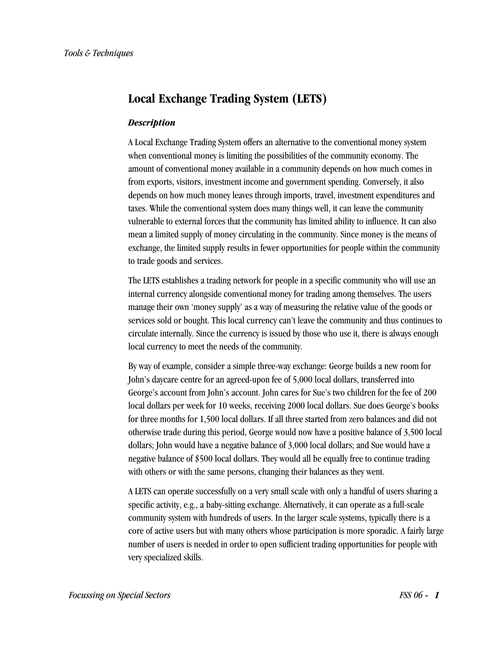# **Local Exchange Trading System (LETS)**

#### *Description*

A Local Exchange Trading System offers an alternative to the conventional money system when conventional money is limiting the possibilities of the community economy. The amount of conventional money available in a community depends on how much comes in from exports, visitors, investment income and government spending. Conversely, it also depends on how much money leaves through imports, travel, investment expenditures and taxes. While the conventional system does many things well, it can leave the community vulnerable to external forces that the community has limited ability to influence. It can also mean a limited supply of money circulating in the community. Since money is the means of exchange, the limited supply results in fewer opportunities for people within the community to trade goods and services.

The LETS establishes a trading network for people in a specific community who will use an internal currency alongside conventional money for trading among themselves. The users manage their own 'money supply' as a way of measuring the relative value of the goods or services sold or bought. This local currency can't leave the community and thus continues to circulate internally. Since the currency is issued by those who use it, there is always enough local currency to meet the needs of the community.

By way of example, consider a simple three-way exchange: George builds a new room for John's daycare centre for an agreed-upon fee of 5,000 local dollars, transferred into George's account from John's account. John cares for Sue's two children for the fee of 200 local dollars per week for 10 weeks, receiving 2000 local dollars. Sue does George's books for three months for 1,500 local dollars. If all three started from zero balances and did not otherwise trade during this period, George would now have a positive balance of 3,500 local dollars; John would have a negative balance of 3,000 local dollars; and Sue would have a negative balance of \$500 local dollars. They would all be equally free to continue trading with others or with the same persons, changing their balances as they went.

A LETS can operate successfully on a very small scale with only a handful of users sharing a specific activity, e.g., a baby-sitting exchange. Alternatively, it can operate as a full-scale community system with hundreds of users. In the larger scale systems, typically there is a core of active users but with many others whose participation is more sporadic. A fairly large number of users is needed in order to open sufficient trading opportunities for people with very specialized skills.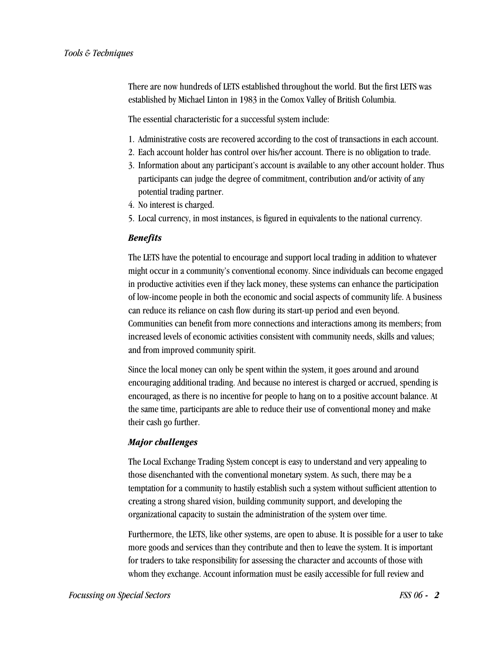There are now hundreds of LETS established throughout the world. But the first LETS was established by Michael Linton in 1983 in the Comox Valley of British Columbia.

The essential characteristic for a successful system include:

- 1. Administrative costs are recovered according to the cost of transactions in each account.
- 2. Each account holder has control over his/her account. There is no obligation to trade.
- 3. Information about any participant's account is available to any other account holder. Thus participants can judge the degree of commitment, contribution and/or activity of any potential trading partner.
- 4. No interest is charged.
- 5. Local currency, in most instances, is figured in equivalents to the national currency.

### *Benefits*

The LETS have the potential to encourage and support local trading in addition to whatever might occur in a community's conventional economy. Since individuals can become engaged in productive activities even if they lack money, these systems can enhance the participation of low-income people in both the economic and social aspects of community life. A business can reduce its reliance on cash flow during its start-up period and even beyond. Communities can benefit from more connections and interactions among its members; from increased levels of economic activities consistent with community needs, skills and values; and from improved community spirit.

Since the local money can only be spent within the system, it goes around and around encouraging additional trading. And because no interest is charged or accrued, spending is encouraged, as there is no incentive for people to hang on to a positive account balance. At the same time, participants are able to reduce their use of conventional money and make their cash go further.

#### *Major challenges*

The Local Exchange Trading System concept is easy to understand and very appealing to those disenchanted with the conventional monetary system. As such, there may be a temptation for a community to hastily establish such a system without sufficient attention to creating a strong shared vision, building community support, and developing the organizational capacity to sustain the administration of the system over time.

Furthermore, the LETS, like other systems, are open to abuse. It is possible for a user to take more goods and services than they contribute and then to leave the system. It is important for traders to take responsibility for assessing the character and accounts of those with whom they exchange. Account information must be easily accessible for full review and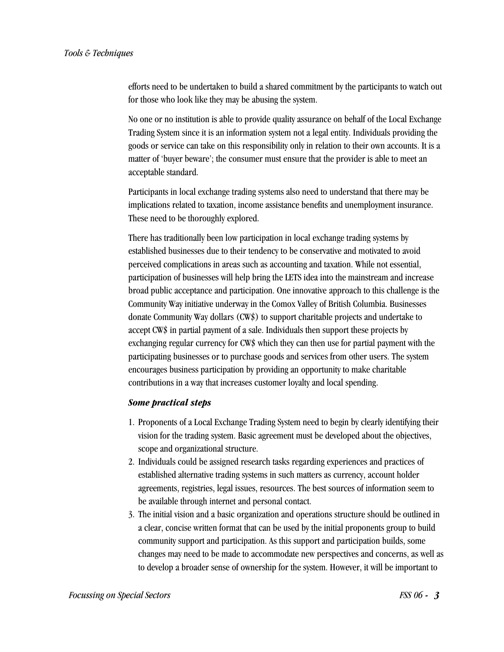efforts need to be undertaken to build a shared commitment by the participants to watch out for those who look like they may be abusing the system.

No one or no institution is able to provide quality assurance on behalf of the Local Exchange Trading System since it is an information system not a legal entity. Individuals providing the goods or service can take on this responsibility only in relation to their own accounts. It is a matter of 'buyer beware'; the consumer must ensure that the provider is able to meet an acceptable standard.

Participants in local exchange trading systems also need to understand that there may be implications related to taxation, income assistance benefits and unemployment insurance. These need to be thoroughly explored.

There has traditionally been low participation in local exchange trading systems by established businesses due to their tendency to be conservative and motivated to avoid perceived complications in areas such as accounting and taxation. While not essential, participation of businesses will help bring the LETS idea into the mainstream and increase broad public acceptance and participation. One innovative approach to this challenge is the Community Way initiative underway in the Comox Valley of British Columbia. Businesses donate Community Way dollars (CW\$) to support charitable projects and undertake to accept CW\$ in partial payment of a sale. Individuals then support these projects by exchanging regular currency for CW\$ which they can then use for partial payment with the participating businesses or to purchase goods and services from other users. The system encourages business participation by providing an opportunity to make charitable contributions in a way that increases customer loyalty and local spending.

#### *Some practical steps*

- 1. Proponents of a Local Exchange Trading System need to begin by clearly identifying their vision for the trading system. Basic agreement must be developed about the objectives, scope and organizational structure.
- 2. Individuals could be assigned research tasks regarding experiences and practices of established alternative trading systems in such matters as currency, account holder agreements, registries, legal issues, resources. The best sources of information seem to be available through internet and personal contact.
- 3. The initial vision and a basic organization and operations structure should be outlined in a clear, concise written format that can be used by the initial proponents group to build community support and participation. As this support and participation builds, some changes may need to be made to accommodate new perspectives and concerns, as well as to develop a broader sense of ownership for the system. However, it will be important to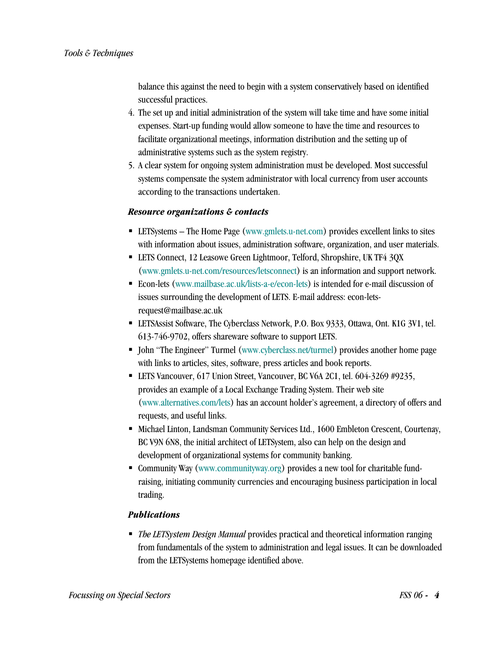balance this against the need to begin with a system conservatively based on identified successful practices.

- 4. The set up and initial administration of the system will take time and have some initial expenses. Start-up funding would allow someone to have the time and resources to facilitate organizational meetings, information distribution and the setting up of administrative systems such as the system registry.
- 5. A clear system for ongoing system administration must be developed. Most successful systems compensate the system administrator with local currency from user accounts according to the transactions undertaken.

### *Resource organizations & contacts*

- LETSystems The Home Page (www.gmlets.u-net.com) provides excellent links to sites with information about issues, administration software, organization, and user materials.
- LETS Connect, 12 Leasowe Green Lightmoor, Telford, Shropshire, UK TF4 3QX (www.gmlets.u-net.com/resources/letsconnect) is an information and support network.
- Econ-lets (www.mailbase.ac.uk/lists-a-e/econ-lets) is intended for e-mail discussion of issues surrounding the development of LETS. E-mail address: econ-letsrequest@mailbase.ac.uk
- LETSAssist Software, The Cyberclass Network, P.O. Box 9333, Ottawa, Ont. K1G 3V1, tel. 613-746-9702, offers shareware software to support LETS.
- John "The Engineer" Turmel (www.cyberclass.net/turmel) provides another home page with links to articles, sites, software, press articles and book reports.
- LETS Vancouver, 617 Union Street, Vancouver, BC V6A 2C1, tel. 604-3269 #9235, provides an example of a Local Exchange Trading System. Their web site (www.alternatives.com/lets) has an account holder's agreement, a directory of offers and requests, and useful links.
- **Michael Linton, Landsman Community Services Ltd., 1600 Embleton Crescent, Courtenay,** BC V9N 6N8, the initial architect of LETSystem, also can help on the design and development of organizational systems for community banking.
- Community Way (www.communityway.org) provides a new tool for charitable fundraising, initiating community currencies and encouraging business participation in local trading.

## *Publications*

 *The LETSystem Design Manual* provides practical and theoretical information ranging from fundamentals of the system to administration and legal issues. It can be downloaded from the LETSystems homepage identified above.